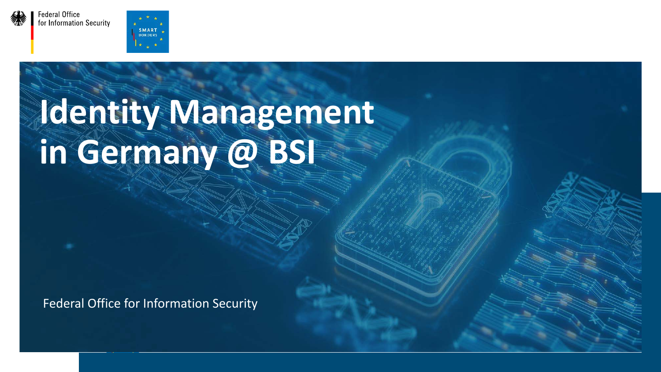

**Federal Office** for Information Security



# **Identity Management in Germany @ BSI**

Federal Office for Information Security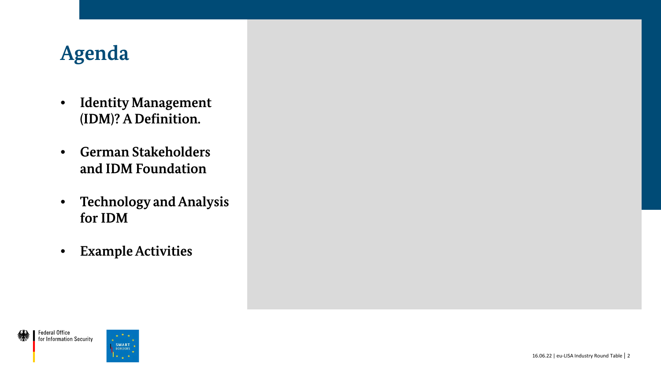### **Agenda**

- **Identity Management (IDM)? A Definition.**
- **German Stakeholders and IDM Foundation**
- **Technology and Analysis for IDM**
- **ExampleActivities**

SMART **BORDERS** 

**Federal Office** for Information Security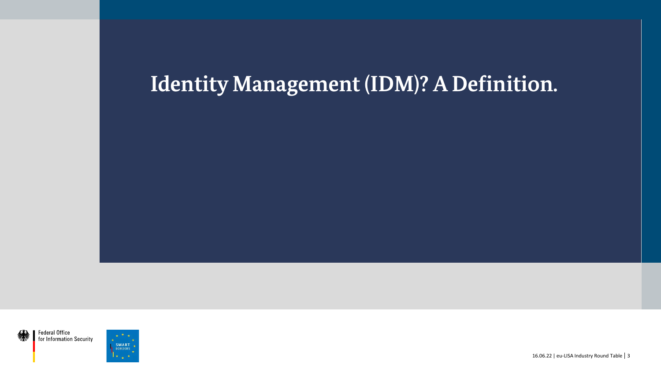### **Identity Management (IDM)? A Definition.**

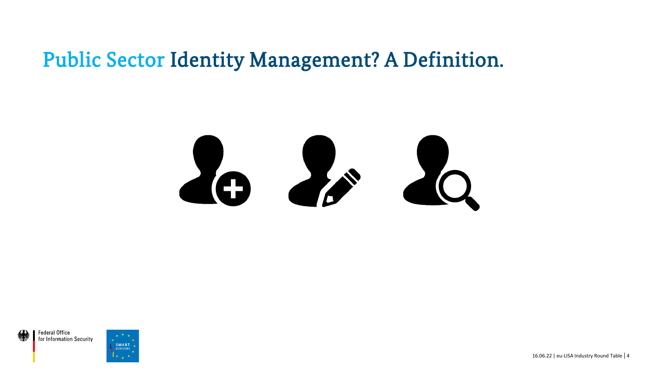





16.06.22 | eu-LISA Industry Round Table | 4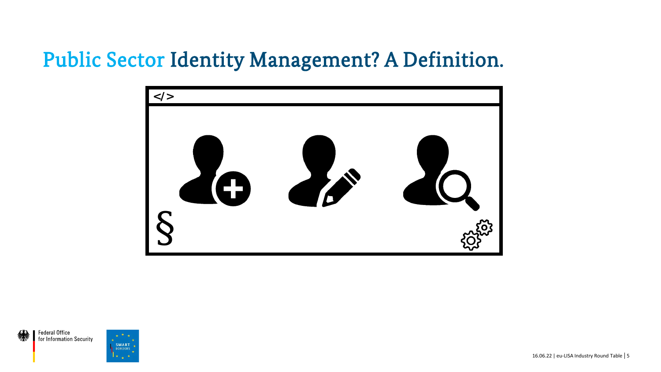

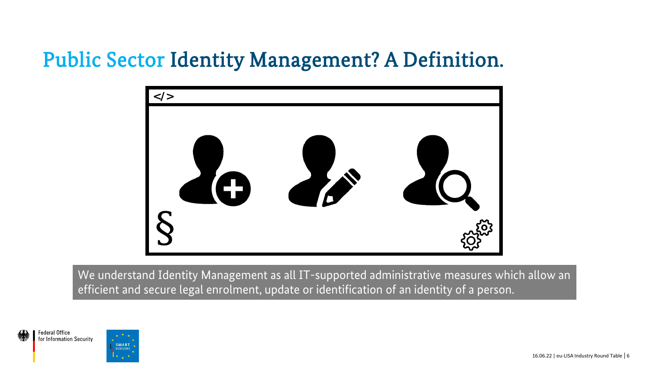

We understand Identity Management as all IT-supported administrative measures which allow an efficient and secure legal enrolment, update or identification of an identity of a person.



**SMART BORDER**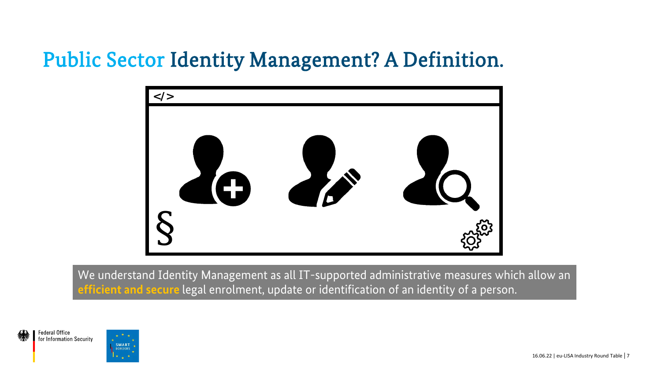

We understand Identity Management as all IT-supported administrative measures which allow an **efficient and secure** legal enrolment, update or identification of an identity of a person.

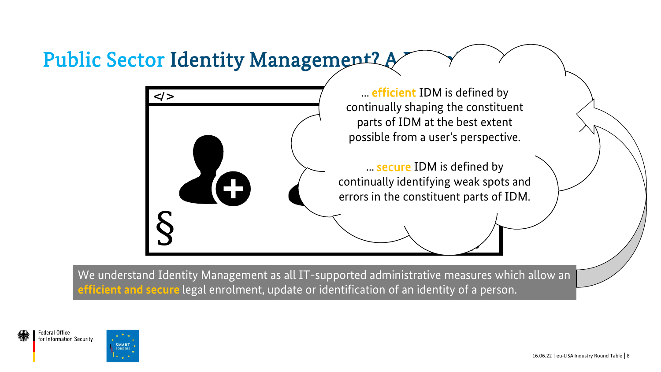### Public Sector Identity Management? A



We understand Identity Management as all IT-supported administrative measures which allow an **efficient and secure** legal enrolment, update or identification of an identity of a person.

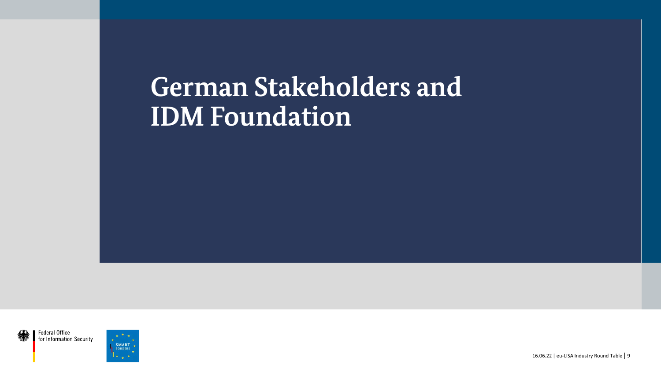## **German Stakeholders and IDM Foundation**





16.06.22 | eu-LISA Industry Round Table | 9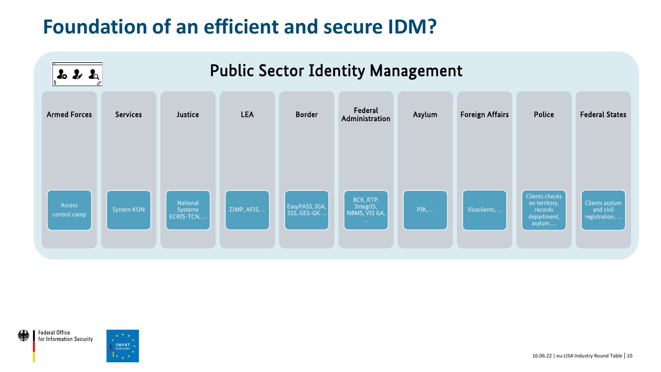### **Foundation of an efficient and secure IDM?**



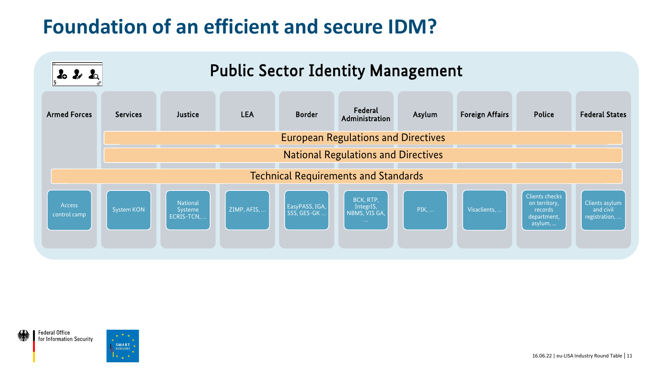### **Foundation of an efficient and secure IDM?**



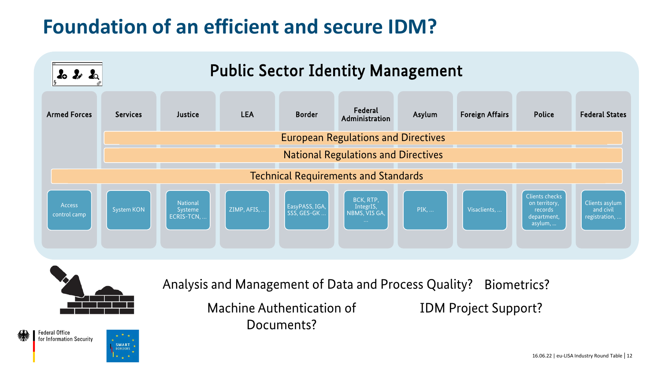### **Foundation of an efficient and secure IDM?**





SMART **BORDERS** 

**Federal Office** for Information Security Analysis and Management of Data and Process Quality? Biometrics?

Machine Authentication of Documents?

IDM Project Support?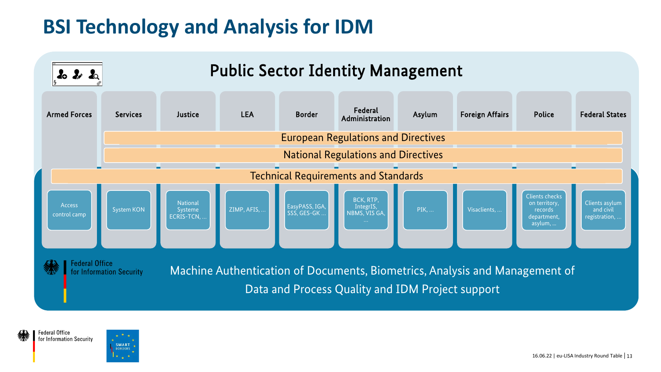### **BSI Technology and Analysis for IDM**



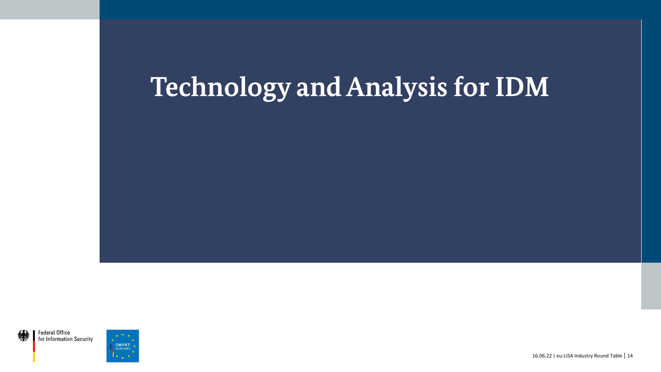## **Technology andAnalysis for IDM**



16.06.22 | eu-LISA Industry Round Table | 14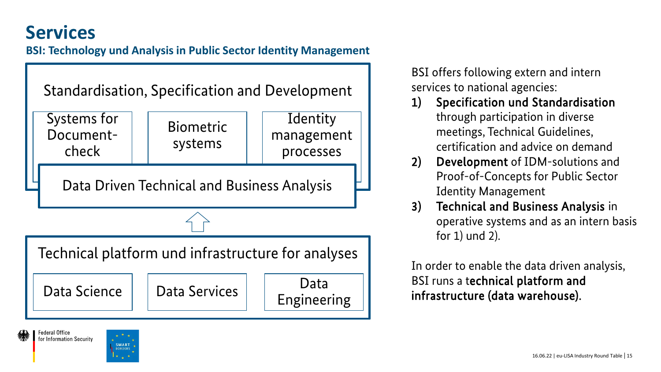### **Services**

**Federal Office** for Information Security

#### **BSI: Technology und Analysis in Public Sector Identity Management**



BSI offers following extern and intern services to national agencies:

- 1) Specification und Standardisation through participation in diverse meetings, Technical Guidelines, certification and advice on demand
- 2) Development of IDM-solutions and Proof-of-Concepts for Public Sector Identity Management
- 3) Technical and Business Analysis in operative systems and as an intern basis for 1) und 2).

In order to enable the data driven analysis, BSI runs a technical platform and infrastructure (data warehouse).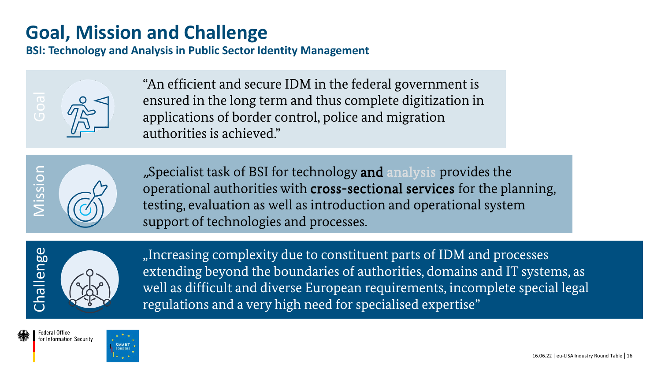### **Goal, Mission and Challenge**

**BSI: Technology and Analysis in Public Sector Identity Management**



"An efficient and secure IDM in the federal government is ensured in the long term and thus complete digitization in applications of border control, police and migration authorities is achieved."



"Specialist task of BSI for technology and analysis provides the operational authorities with cross-sectional services for the planning, testing, evaluation as well as introduction and operational system support of technologies and processes.



"Increasing complexity due to constituent parts of IDM and processes extending beyond the boundaries of authorities, domains and IT systems, as well as difficult and diverse European requirements, incomplete special legal regulations and a very high need for specialised expertise"

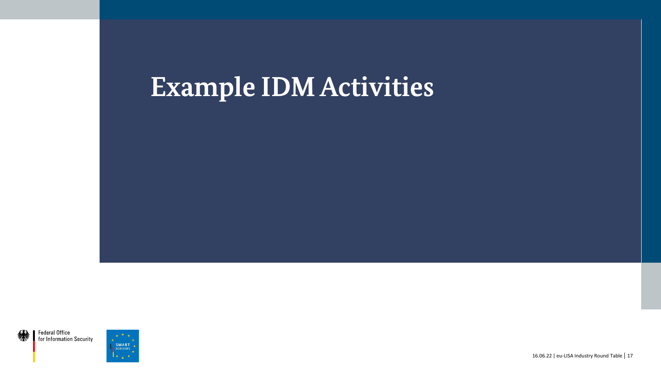## **Example IDM Activities**

Federal Office for Information Security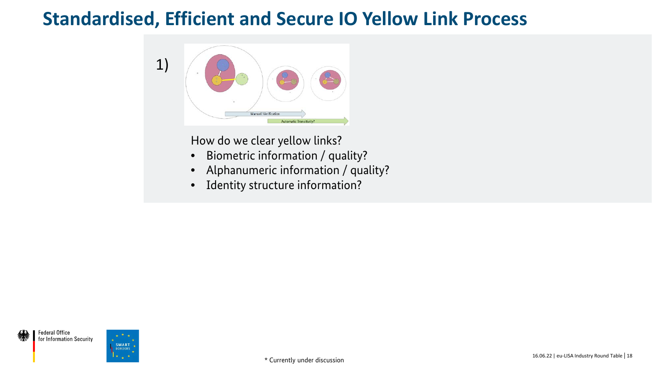

How do we clear yellow links?

- Biometric information / quality?
- Alphanumeric information / quality?
- Identity structure information?

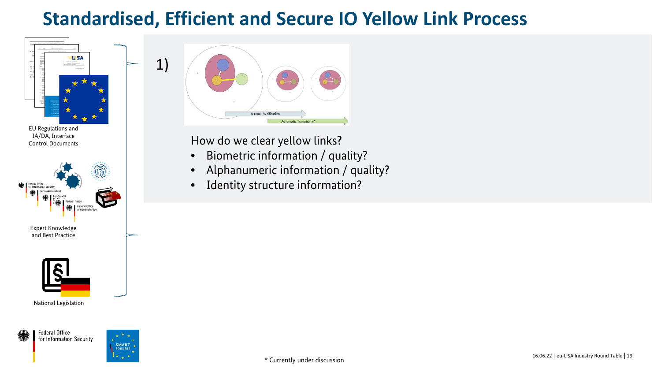

IA/DA, Interface Control Documents



National Legislation



**Federal Office** for Information Security



1)

| <b>Automatic Transitivity?</b> | $_{\rm e}$<br>$\circ$ .<br>$\circ$<br>$\alpha$<br>٠<br><b>Manuell Verification</b> |
|--------------------------------|------------------------------------------------------------------------------------|
|                                |                                                                                    |
|                                |                                                                                    |

How do we clear yellow links?

- Biometric information / quality?
- Alphanumeric information / quality?
- Identity structure information?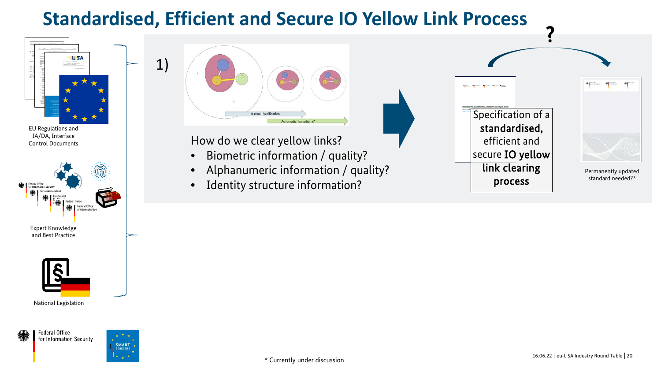



National Legislation



**Federal Office** for Information Security



1)



How do we clear yellow links?

- Biometric information / quality?
- Alphanumeric information / quality?
- Identity structure information?

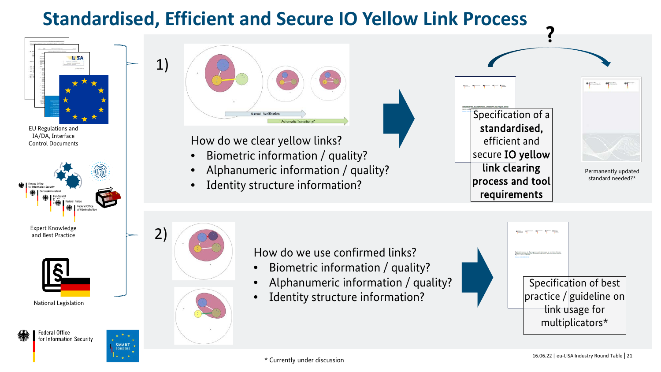

IA/DA, Interface Control Documents







**Federal Office** for Information Security

**SMART BORDERS** 



How do we clear yellow links?

- Biometric information / quality?
- Alphanumeric information / quality?
- Identity structure information?





Permanently updated standard needed?\*



How do we use confirmed links?

- Biometric information / quality?
- Alphanumeric information / quality?
- Identity structure information?



?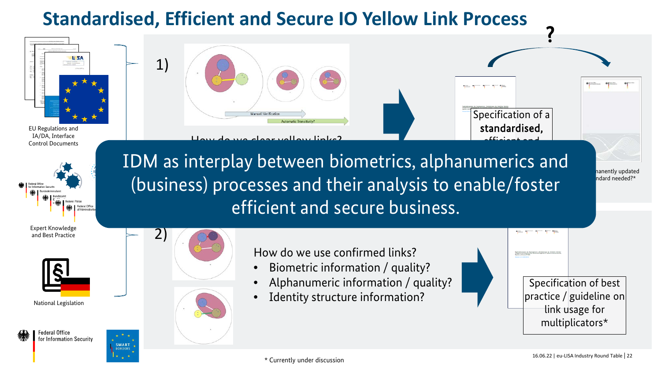How do we clear yellow links?

Manuell Verifics



EU Regulations and IA/DA, Interface Control Documents



Expert Knowledge and Best Practice





**Federal Office** for Information Security

**SMART BORDER** 



1)

How do we use confirmed links?

- Biometric information / quality?
- Alphanumeric information / quality?
- Identity structure information?

Specification of best practice / guideline on link usage for multiplicators\*

 $\sum_{n=1}^{\infty}$ line in co process and tool rection and the contract of the contract of the contract of the contract of the contract of the contract of the contract of the contract of the contract of the contract of the contract of the contract of the contract of th hterplay between biom  $\sim$  play between biometric (business) processes and their analysis to enable/foster IDM as interplay between biometrics, alphanumerics and efficient and secure business.

Specification of a standardised,

?

efficient and

hanently updated ndard needed?\*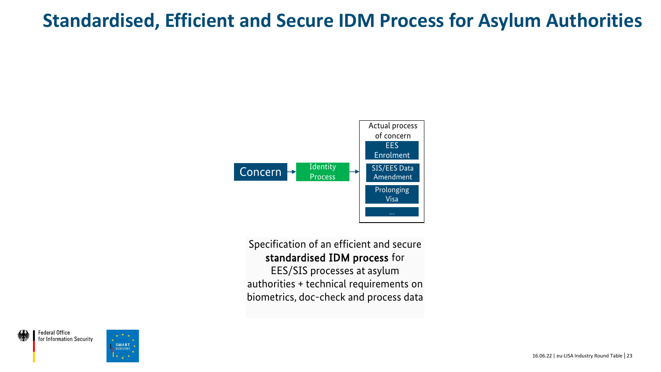

#### Specification of an efficient and secure standardised IDM process for

EES/SIS processes at asylum authorities + technical requirements on biometrics, doc-check and process data

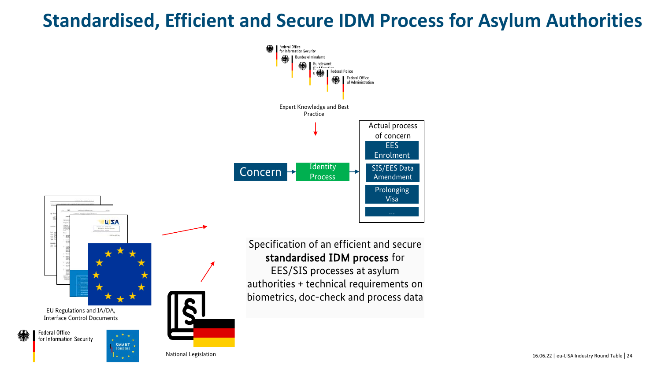



#### Specification of an efficient and secure standardised IDM process for

EES/SIS processes at asylum authorities + technical requirements on biometrics, doc-check and process data

National Legislation

16.06.22 | eu-LISA Industry Round Table 24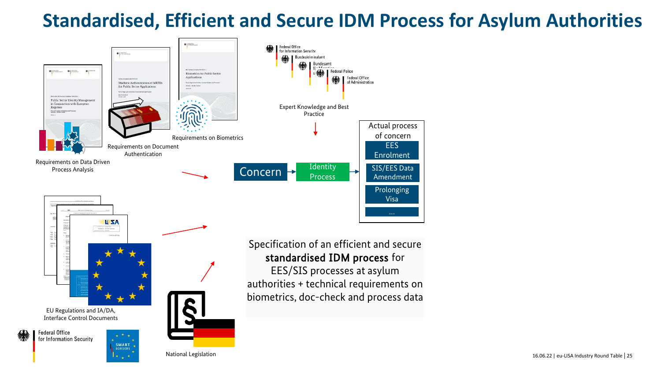

16.06.22 | eu-LISA Industry Round Table 25

National Legislation

EU Regulations and IA/DA, Interface Control Documents

> SMART **BORDERS**

**Federal Office** for Information Security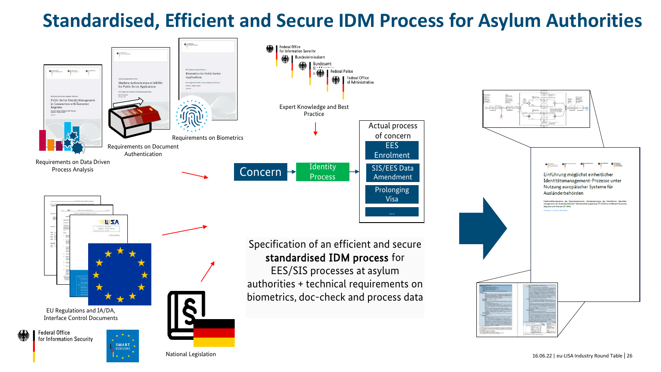

16.06.22 | eu-LISA Industry Round Table | 26

 $\bigoplus$   $\bigcup_{i=1}^{n}$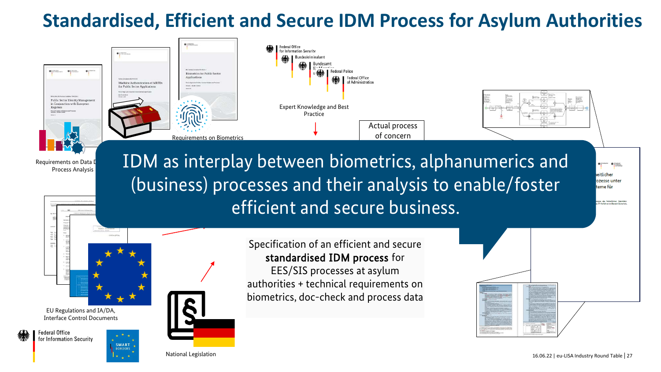

National Legislation